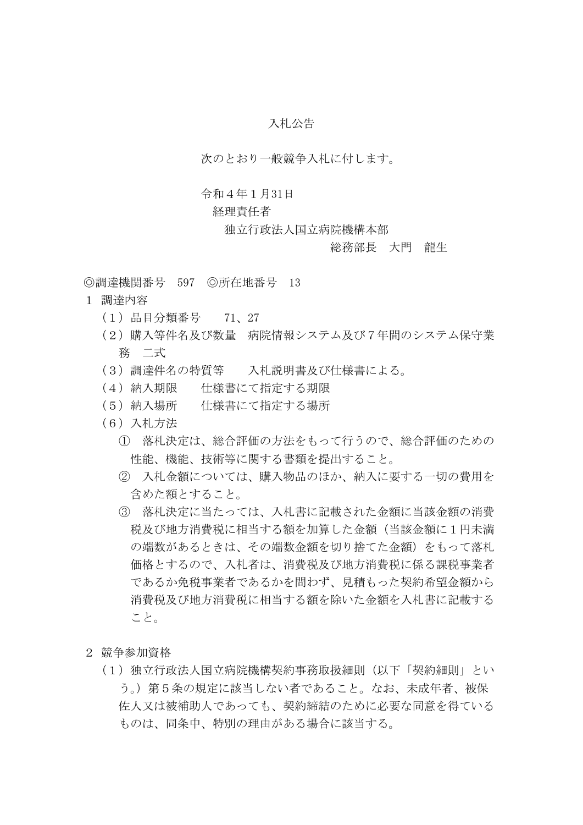# 入札公告

次のとおり一般競争入札に付します。

#### 令和4年1月31日

## 経理責任者

#### 独立行政法人国立病院機構本部

## 総務部長 大門 龍生

◎調達機関番号 597 ◎所在地番号 13

- 1 調達内容
	- (1)品目分類番号 71、27
	- (2)購入等件名及び数量 病院情報システム及び7年間のシステム保守業 務 二式
	- (3)調達件名の特質等 入札説明書及び仕様書による。
	- (4) 納入期限 仕様書にて指定する期限
	- (5)納入場所 仕様書にて指定する場所
	- (6)入札方法
		- ① 落札決定は、総合評価の方法をもって行うので、総合評価のための 性能、機能、技術等に関する書類を提出すること。
		- ② 入札金額については、購入物品のほか、納入に要する一切の費用を 含めた額とすること。
		- ③ 落札決定に当たっては、入札書に記載された金額に当該金額の消費 税及び地方消費税に相当する額を加算した金額(当該金額に1円未満 の端数があるときは、その端数金額を切り捨てた金額)をもって落札 価格とするので、入札者は、消費税及び地方消費税に係る課税事業者 であるか免税事業者であるかを問わず、見積もった契約希望金額から 消費税及び地方消費税に相当する額を除いた金額を入札書に記載する こと。
- 2 競争参加資格
	- (1)独立行政法人国立病院機構契約事務取扱細則(以下「契約細則」とい う。)第5条の規定に該当しない者であること。なお、未成年者、被保 佐人又は被補助人であっても、契約締結のために必要な同意を得ている ものは、同条中、特別の理由がある場合に該当する。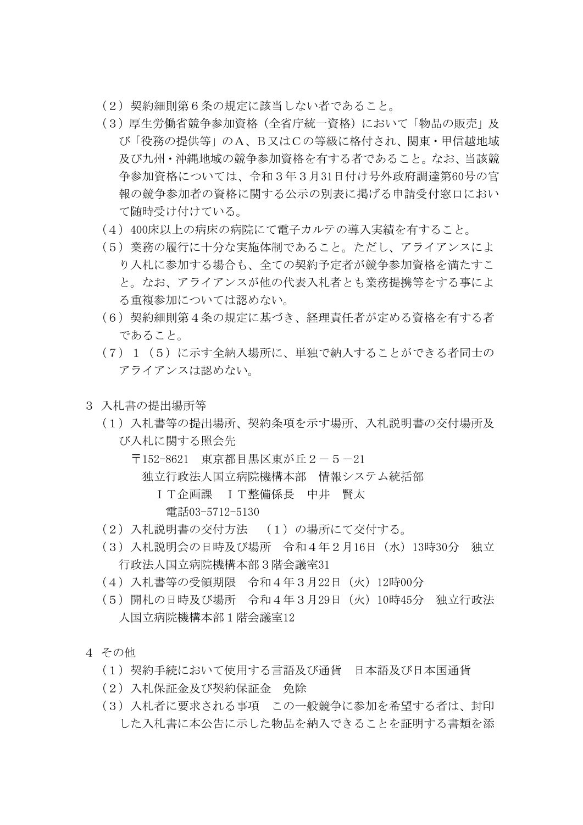- (2)契約細則第6条の規定に該当しない者であること。
- (3)厚生労働省競争参加資格(全省庁統一資格)において「物品の販売」及 び「役務の提供等」のA、B又はCの等級に格付され、関東・甲信越地域 及び九州・沖縄地域の競争参加資格を有する者であること。なお、当該競 争参加資格については、令和3年3月31日付け号外政府調達第60号の官 報の競争参加者の資格に関する公示の別表に掲げる申請受付窓口におい て随時受け付けている。
- (4)400床以上の病床の病院にて電子カルテの導入実績を有すること。
- (5)業務の履行に十分な実施体制であること。ただし、アライアンスによ り入札に参加する場合も、全ての契約予定者が競争参加資格を満たすこ と。なお、アライアンスが他の代表入札者とも業務提携等をする事によ る重複参加については認めない。
- (6)契約細則第4条の規定に基づき、経理責任者が定める資格を有する者 であること。
- (7)1(5)に示す全納入場所に、単独で納入することができる者同士の アライアンスは認めない。
- 3 入札書の提出場所等
	- (1)入札書等の提出場所、契約条項を示す場所、入札説明書の交付場所及 び入札に関する照会先
		- 〒152-8621 東京都目黒区東が丘2-5-21
			- 独立行政法人国立病院機構本部 情報システム統括部
				- IT企画課 IT整備係長 中井 賢太 電話03-5712-5130
	- (2)入札説明書の交付方法 (1)の場所にて交付する。
	- (3)入札説明会の日時及び場所 令和4年2月16日(水)13時30分 独立 行政法人国立病院機構本部3階会議室31
	- (4)入札書等の受領期限 令和4年3月22日(火)12時00分
	- (5)開札の日時及び場所 令和4年3月29日(火)10時45分 独立行政法 人国立病院機構本部1階会議室12
- 4 その他
	- (1)契約手続において使用する言語及び通貨 日本語及び日本国通貨
	- (2)入札保証金及び契約保証金 免除
	- (3)入札者に要求される事項 この一般競争に参加を希望する者は、封印 した入札書に本公告に示した物品を納入できることを証明する書類を添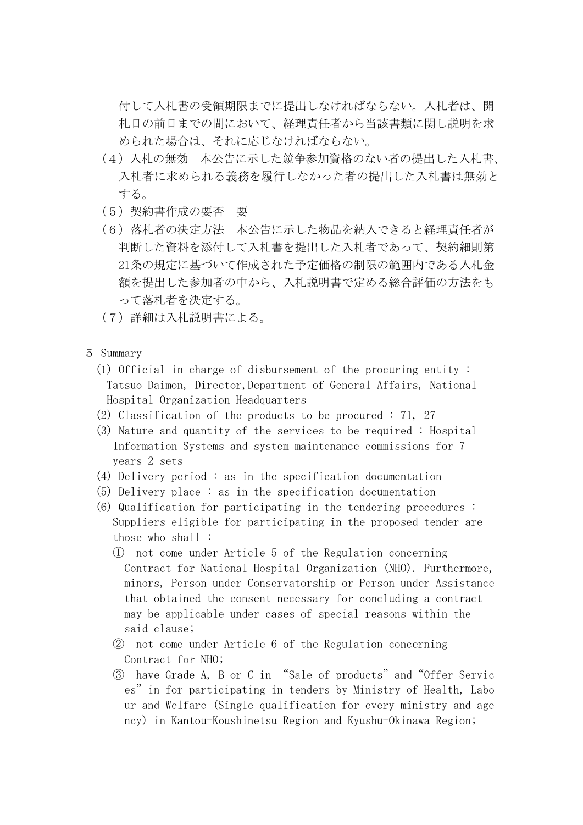付して入札書の受領期限までに提出しなければならない。入札者は、開 札日の前日までの間において、経理責任者から当該書類に関し説明を求 められた場合は、それに応じなければならない。

- (4)入札の無効 本公告に示した競争参加資格のない者の提出した入札書、 入札者に求められる義務を履行しなかった者の提出した入札書は無効と する。
- (5)契約書作成の要否 要
- (6)落札者の決定方法 本公告に示した物品を納入できると経理責任者が 判断した資料を添付して入札書を提出した入札者であって、契約細則第 21条の規定に基づいて作成された予定価格の制限の範囲内である入札金 額を提出した参加者の中から、入札説明書で定める総合評価の方法をも って落札者を決定する。
- (7)詳細は入札説明書による。
- 5 Summary
	- (1) Official in charge of disbursement of the procuring entity : Tatsuo Daimon, Director,Department of General Affairs, National Hospital Organization Headquarters
	- (2) Classification of the products to be procured : 71, 27
	- (3) Nature and quantity of the services to be required : Hospital Information Systems and system maintenance commissions for 7 years 2 sets
	- (4) Delivery period : as in the specification documentation
	- (5) Delivery place : as in the specification documentation
	- (6) Qualification for participating in the tendering procedures : Suppliers eligible for participating in the proposed tender are those who shall :
		- ① not come under Article 5 of the Regulation concerning Contract for National Hospital Organization (NHO). Furthermore, minors, Person under Conservatorship or Person under Assistance that obtained the consent necessary for concluding a contract may be applicable under cases of special reasons within the said clause;
		- ② not come under Article 6 of the Regulation concerning Contract for NHO;
		- ③ have Grade A, B or C in "Sale of products"and"Offer Servic es"in for participating in tenders by Ministry of Health, Labo ur and Welfare (Single qualification for every ministry and age ncy) in Kantou-Koushinetsu Region and Kyushu-Okinawa Region;